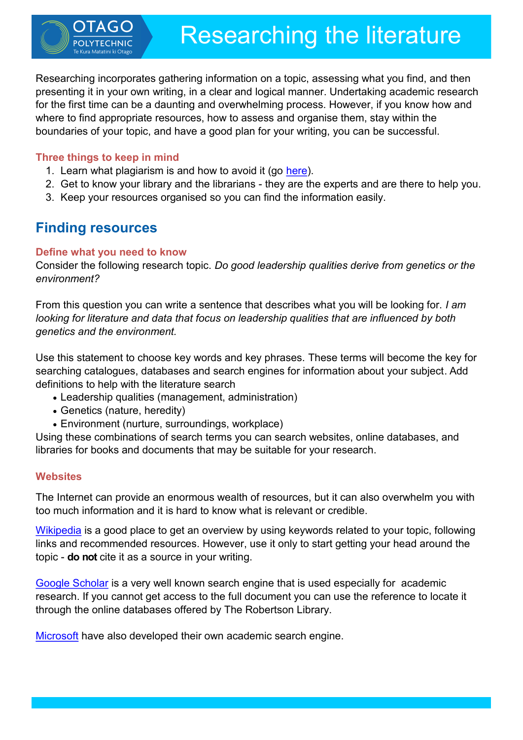Researching incorporates gathering information on a topic, assessing what you find, and then presenting it in your own writing, in a clear and logical manner. Undertaking academic research for the first time can be a daunting and overwhelming process. However, if you know how and where to find appropriate resources, how to assess and organise them, stay within the boundaries of your topic, and have a good plan for your writing, you can be successful.

## **Three things to keep in mind**

- 1. Learn what plagiarism is and how to avoid it (go [here\).](http://www.victoria.ac.nz/st_services/slss/studyhub/handouts/Avoiding-plagiarism.pdf)
- 2. Get to know your library and the librarians they are the experts and are there to help you.
- 3. Keep your resources organised so you can find the information easily.

# **Finding resources**

## **Define what you need to know**

Consider the following research topic. *Do good leadership qualities derive from genetics or the environment?*

From this question you can write a sentence that describes what you will be looking for. *I am looking for literature and data that focus on leadership qualities that are influenced by both genetics and the environment.*

Use this statement to choose key words and key phrases. These terms will become the key for searching catalogues, databases and search engines for information about your subject. Add definitions to help with the literature search

- Leadership qualities (management, administration)
- Genetics (nature, heredity)
- Environment (nurture, surroundings, workplace)

Using these combinations of search terms you can search websites, online databases, and libraries for books and documents that may be suitable for your research.

## **Websites**

The Internet can provide an enormous wealth of resources, but it can also overwhelm you with too much information and it is hard to know what is relevant or credible.

[Wikipedia](http://en.wikipedia.org/wiki/Main_Page) is a good place to get an overview by using keywords related to your topic, following links and recommended resources. However, use it only to start getting your head around the topic - **do not** cite it as a source in your writing.

[Google Scholar](https://scholar.google.co.nz/schhp) is a very well known search engine that is used especially for academic research. If you cannot get access to the full document you can use the reference to locate it through the online databases offered by The Robertson Library.

[Microsoft](http://academic.research.microsoft.com/) have also developed their own academic search engine.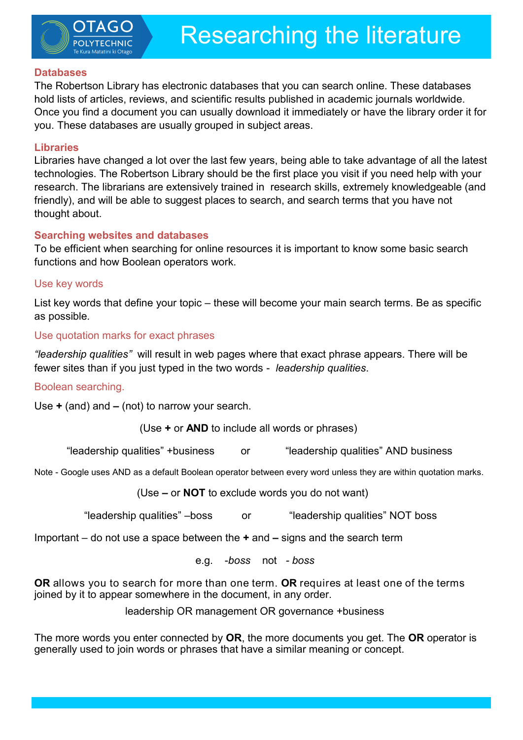

#### **Databases**

The Robertson Library has electronic databases that you can search online. These databases hold lists of articles, reviews, and scientific results published in academic journals worldwide. Once you find a document you can usually download it immediately or have the library order it for you. These databases are usually grouped in subject areas.

#### **Libraries**

Libraries have changed a lot over the last few years, being able to take advantage of all the latest technologies. The Robertson Library should be the first place you visit if you need help with your research. The librarians are extensively trained in research skills, extremely knowledgeable (and friendly), and will be able to suggest places to search, and search terms that you have not thought about.

### **Searching websites and databases**

To be efficient when searching for online resources it is important to know some basic search functions and how Boolean operators work.

### Use key words

List key words that define your topic – these will become your main search terms. Be as specific as possible*.* 

### Use quotation marks for exact phrases

*"leadership qualities"* will result in web pages where that exact phrase appears. There will be fewer sites than if you just typed in the two words - *leadership qualities*.

#### Boolean searching.

Use **+** (and) and **–** (not) to narrow your search.

(Use **+** or **AND** to include all words or phrases)

"leadership qualities" +business or "leadership qualities" AND business

Note - Google uses AND as a default Boolean operator between every word unless they are within quotation marks.

(Use **–** or **NOT** to exclude words you do not want)

"leadership qualities" –boss or "leadership qualities" NOT boss

Important – do not use a space between the **+** and **–** signs and the search term

e.g. -*boss* not *- boss*

**OR** allows you to search for more than one term. **OR** requires at least one of the terms joined by it to appear somewhere in the document, in any order.

leadership OR management OR governance +business

The more words you enter connected by **OR**, the more documents you get. The **OR** operator is generally used to join words or phrases that have a similar meaning or concept.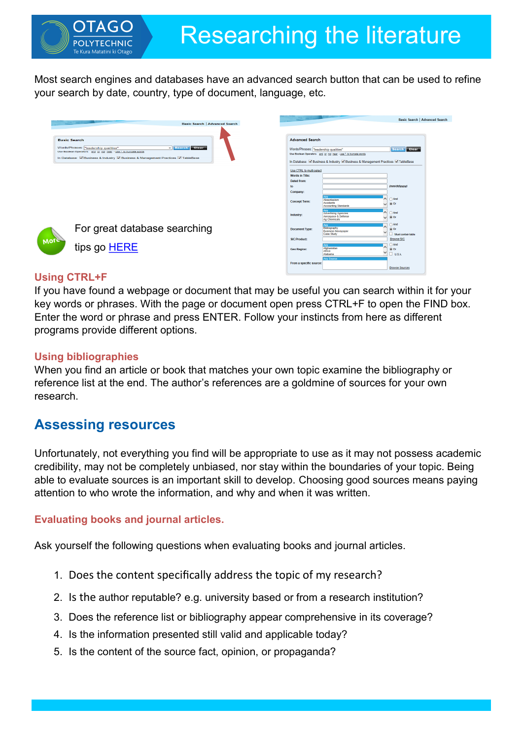Most search engines and databases have an advanced search button that can be used to refine your search by date, country, type of document, language, etc.

|                     | <b>Basic Search   Advanced Search</b>                                                                                                                                                                                 |                                                                                                                                                                                                                                        |                                                                                            | <b>Basic Search   Advanced Search</b>   |
|---------------------|-----------------------------------------------------------------------------------------------------------------------------------------------------------------------------------------------------------------------|----------------------------------------------------------------------------------------------------------------------------------------------------------------------------------------------------------------------------------------|--------------------------------------------------------------------------------------------|-----------------------------------------|
| <b>Basic Search</b> | <b>X</b> Search Clear<br>Words/Phrases: "leadership qualities"<br>Use Boolean Operators and or not near - use * to truncate words<br>In Database: V Business & Industry V Business & Management Practices V TableBase | <b>Advanced Search</b><br>Search Clear<br>Words/Phrases: "leadership qualities"<br>Use Boolean Operators and or not near - use * to truncate words<br>In Database: Ø Business & Industry Ø Business & Management Practices Ø TableBase |                                                                                            |                                         |
|                     |                                                                                                                                                                                                                       | Use CTRL to multi-select<br><b>Words in Title:</b><br>Dated from:<br>to                                                                                                                                                                |                                                                                            | (mm/dd/yyyy)                            |
|                     |                                                                                                                                                                                                                       | Company:<br><b>Concept Term:</b>                                                                                                                                                                                                       | Absentecism<br>Accidents<br><b>Accounting Standards</b>                                    | $\bigcap$ And<br>$\odot$ Or             |
|                     |                                                                                                                                                                                                                       | Industry:                                                                                                                                                                                                                              | <b>Any</b><br><b>Advertising Agencies</b><br>$\sim$<br>Aerospace & Defense<br>Ag Chemicals | And<br>$\circ$ or                       |
| <b>More</b>         | For great database searching                                                                                                                                                                                          | <b>Document Type:</b>                                                                                                                                                                                                                  | Bibliography<br><b>Business Newspaper</b><br>Case Study                                    | And<br>$\circ$ Or<br>Must contain table |
|                     |                                                                                                                                                                                                                       | SIC/Product:                                                                                                                                                                                                                           |                                                                                            | <b>Browse SIC</b>                       |
|                     | tips go HERE                                                                                                                                                                                                          | <b>Geo Region:</b>                                                                                                                                                                                                                     | Any<br>Afghanistan<br>Africa<br>Alabama                                                    | And<br>$\circ$ Or<br>$\frac{1}{2}$ USA  |
|                     |                                                                                                                                                                                                                       | From a specific source:                                                                                                                                                                                                                | <b>Any Source</b>                                                                          | <b>Browse Sources</b>                   |

## **Using CTRL+F**

If you have found a webpage or document that may be useful you can search within it for your key words or phrases. With the page or document open press CTRL+F to open the FIND box. Enter the word or phrase and press ENTER. Follow your instincts from here as different programs provide different options.

## **Using bibliographies**

When you find an article or book that matches your own topic examine the bibliography or reference list at the end. The author's references are a goldmine of sources for your own research.

# **Assessing resources**

Unfortunately, not everything you find will be appropriate to use as it may not possess academic credibility, may not be completely unbiased, nor stay within the boundaries of your topic. Being able to evaluate sources is an important skill to develop. Choosing good sources means paying attention to who wrote the information, and why and when it was written.

## **Evaluating books and journal articles.**

Ask yourself the following questions when evaluating books and journal articles.

- 1. Does the content specifically address the topic of my research?
- 2. Is the author reputable? e.g. university based or from a research institution?
- 3. Does the reference list or bibliography appear comprehensive in its coverage?
- 4. Is the information presented still valid and applicable today?
- 5. Is the content of the source fact, opinion, or propaganda?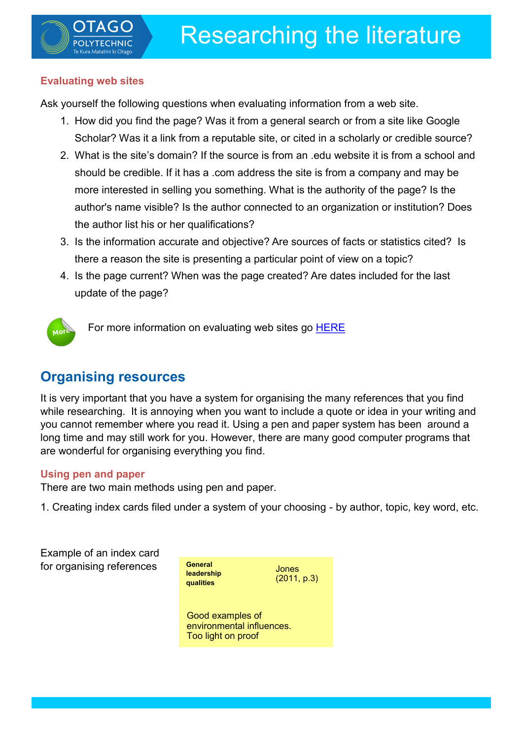## **Evaluating web sites**

Ask yourself the following questions when evaluating information from a web site.

- 1. How did you find the page? Was it from a general search or from a site like Google Scholar? Was it a link from a reputable site, or cited in a scholarly or credible source?
- 2. What is the site's domain? If the source is from an .edu website it is from a school and should be credible. If it has a .com address the site is from a company and may be more interested in selling you something. What is the authority of the page? Is the author's name visible? Is the author connected to an organization or institution? Does the author list his or her qualifications?
- 3. Is the information accurate and objective? Are sources of facts or statistics cited? Is there a reason the site is presenting a particular point of view on a topic?
- 4. Is the page current? When was the page created? Are dates included for the last update of the page?



For more information on evaluating web sites go [HERE](http://www.otago.ac.nz/library/robertson/pdf/How_to_Evaluate_Websites.pdf)

# **Organising resources**

It is very important that you have a system for organising the many references that you find while researching. It is annoying when you want to include a quote or idea in your writing and you cannot remember where you read it. Using a pen and paper system has been around a long time and may still work for you. However, there are many good computer programs that are wonderful for organising everything you find.

## **Using pen and paper**

There are two main methods using pen and paper.

1. Creating index cards filed under a system of your choosing - by author, topic, key word, etc.